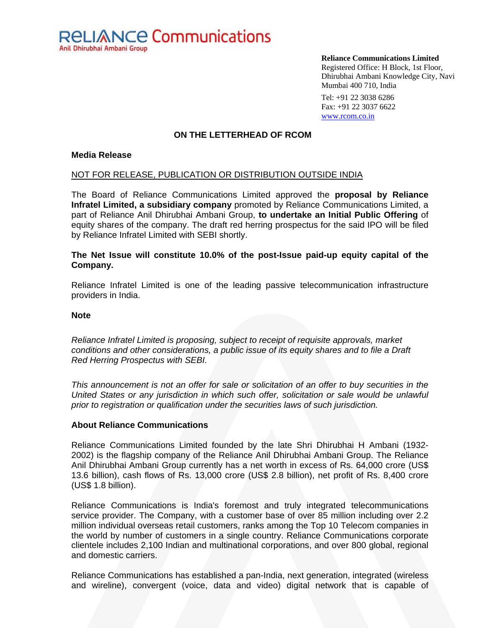

**Reliance Communications Limited** 

Registered Office: H Block, 1st Floor, Dhirubhai Ambani Knowledge City, Navi Mumbai 400 710, India

Tel: +91 22 3038 6286 Fax: +91 22 3037 6622 www.rcom.co.in

## **ON THE LETTERHEAD OF RCOM**

## **Media Release**

## NOT FOR RELEASE, PUBLICATION OR DISTRIBUTION OUTSIDE INDIA

The Board of Reliance Communications Limited approved the **proposal by Reliance Infratel Limited, a subsidiary company** promoted by Reliance Communications Limited, a part of Reliance Anil Dhirubhai Ambani Group, **to undertake an Initial Public Offering** of equity shares of the company. The draft red herring prospectus for the said IPO will be filed by Reliance Infratel Limited with SEBI shortly.

## **The Net Issue will constitute 10.0% of the post-Issue paid-up equity capital of the Company.**

Reliance Infratel Limited is one of the leading passive telecommunication infrastructure providers in India.

### **Note**

*Reliance Infratel Limited is proposing, subject to receipt of requisite approvals, market conditions and other considerations, a public issue of its equity shares and to file a Draft Red Herring Prospectus with SEBI.* 

*This announcement is not an offer for sale or solicitation of an offer to buy securities in the*  United States or any jurisdiction in which such offer, solicitation or sale would be unlawful *prior to registration or qualification under the securities laws of such jurisdiction.* 

## **About Reliance Communications**

Reliance Communications Limited founded by the late Shri Dhirubhai H Ambani (1932- 2002) is the flagship company of the Reliance Anil Dhirubhai Ambani Group. The Reliance Anil Dhirubhai Ambani Group currently has a net worth in excess of Rs. 64,000 crore (US\$ 13.6 billion), cash flows of Rs. 13,000 crore (US\$ 2.8 billion), net profit of Rs. 8,400 crore (US\$ 1.8 billion).

Reliance Communications is India's foremost and truly integrated telecommunications service provider. The Company, with a customer base of over 85 million including over 2.2 million individual overseas retail customers, ranks among the Top 10 Telecom companies in the world by number of customers in a single country. Reliance Communications corporate clientele includes 2,100 Indian and multinational corporations, and over 800 global, regional and domestic carriers.

Reliance Communications has established a pan-India, next generation, integrated (wireless and wireline), convergent (voice, data and video) digital network that is capable of